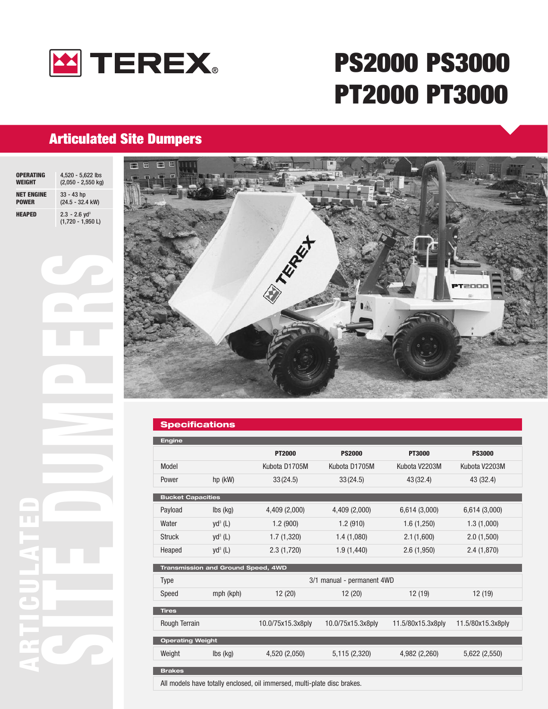

# **PS2000 PS3000 PT2000 PT3000**

### **Articulated Site Dumpers**

| <b>OPERATING</b>  | 4,520 - 5,622 lbs                                  |
|-------------------|----------------------------------------------------|
| <b>WEIGHT</b>     | $(2,050 - 2,550$ kg)                               |
| <b>NET ENGINE</b> | $33 - 43$ hp                                       |
| <b>POWER</b>      | (24.5 - 32.4 kW)                                   |
| <b>HEAPED</b>     | $2.3 - 2.6$ yd <sup>3</sup><br>$(1,720 - 1,950 L)$ |



### **Specifications**

| <b>Engine</b>                      |                             |                                                                                                    |                            |                   |                   |
|------------------------------------|-----------------------------|----------------------------------------------------------------------------------------------------|----------------------------|-------------------|-------------------|
|                                    |                             | <b>PT2000</b>                                                                                      | <b>PS2000</b>              | <b>PT3000</b>     | <b>PS3000</b>     |
| Model                              |                             | Kubota D1705M                                                                                      | Kubota D1705M              | Kubota V2203M     | Kubota V2203M     |
| Power                              | $hp$ (kW)                   | 33(24.5)                                                                                           | 33(24.5)                   | 43(32.4)          | 43 (32.4)         |
| <b>Bucket Capacities</b>           |                             |                                                                                                    |                            |                   |                   |
| Payload                            | $\mathsf{lbs}(\mathsf{kg})$ | 4,409 (2,000)                                                                                      | 4,409 (2,000)              | 6,614 (3,000)     | 6,614 (3,000)     |
| Water                              | $yd^3$ (L)                  | 1.2(900)                                                                                           | 1.2(910)                   | 1.6(1,250)        | 1.3(1,000)        |
| <b>Struck</b>                      | $yd^3$ (L)                  | 1.7(1,320)                                                                                         | 1.4(1,080)                 | 2.1(1,600)        | 2.0(1,500)        |
| Heaped                             | $yd^3$ (L)                  | 2.3(1,720)                                                                                         | 1.9(1,440)                 | 2.6(1,950)        | 2.4(1,870)        |
|                                    |                             |                                                                                                    |                            |                   |                   |
| Transmission and Ground Speed, 4WD |                             |                                                                                                    |                            |                   |                   |
| Type                               |                             |                                                                                                    | 3/1 manual - permanent 4WD |                   |                   |
| Speed                              | mph (kph)                   | 12(20)                                                                                             | 12(20)                     | 12 (19)           | 12(19)            |
| <b>Tires</b>                       |                             |                                                                                                    |                            |                   |                   |
| Rough Terrain                      |                             | 10.0/75x15.3x8ply                                                                                  | 10.0/75x15.3x8ply          | 11.5/80x15.3x8ply | 11.5/80x15.3x8ply |
|                                    |                             |                                                                                                    |                            |                   |                   |
| <b>Operating Weight</b>            |                             |                                                                                                    |                            |                   |                   |
| Weight                             | $\mathsf{lbs}(\mathsf{kg})$ | 4,520 (2,050)                                                                                      | 5,115 (2,320)              | 4,982 (2,260)     | 5,622 (2,550)     |
| <b>Brakes</b>                      |                             |                                                                                                    |                            |                   |                   |
|                                    |                             | All accordate trader deduction and countries there are and all accords at all at the discussion of |                            |                   |                   |

All models have totally enclosed, oil immersed, multi-plate disc brakes.